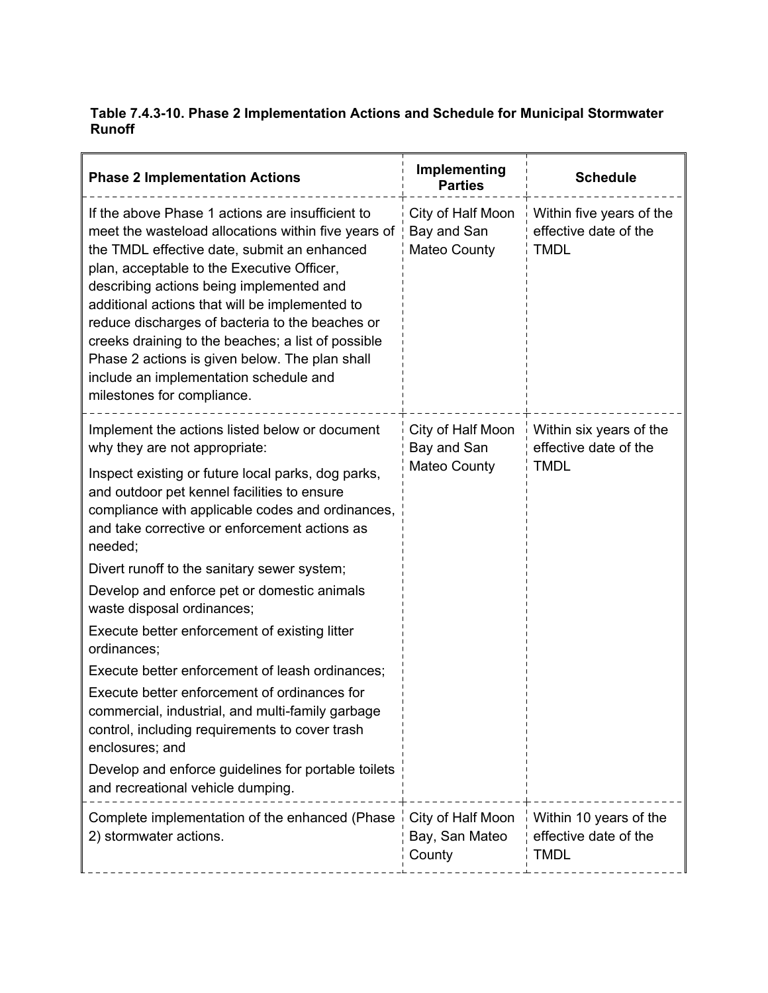## **Table 7.4.3-10. Phase 2 Implementation Actions and Schedule for Municipal Stormwater Runoff**

| <b>Phase 2 Implementation Actions</b>                                                                                                                                                                                                                                                                                                                                                                                                                                                                                                                                                                                                                                                                                                                                                                                    | Implementing<br><b>Parties</b>                   | <b>Schedule</b>                                                |
|--------------------------------------------------------------------------------------------------------------------------------------------------------------------------------------------------------------------------------------------------------------------------------------------------------------------------------------------------------------------------------------------------------------------------------------------------------------------------------------------------------------------------------------------------------------------------------------------------------------------------------------------------------------------------------------------------------------------------------------------------------------------------------------------------------------------------|--------------------------------------------------|----------------------------------------------------------------|
| If the above Phase 1 actions are insufficient to<br>meet the wasteload allocations within five years of<br>the TMDL effective date, submit an enhanced<br>plan, acceptable to the Executive Officer,<br>describing actions being implemented and<br>additional actions that will be implemented to<br>reduce discharges of bacteria to the beaches or<br>creeks draining to the beaches; a list of possible<br>Phase 2 actions is given below. The plan shall<br>include an implementation schedule and<br>milestones for compliance.                                                                                                                                                                                                                                                                                    | City of Half Moon<br>Bay and San<br>Mateo County | Within five years of the<br>effective date of the<br>TMDL      |
| Implement the actions listed below or document<br>why they are not appropriate:<br>Inspect existing or future local parks, dog parks,<br>and outdoor pet kennel facilities to ensure<br>compliance with applicable codes and ordinances,<br>and take corrective or enforcement actions as<br>needed;<br>Divert runoff to the sanitary sewer system;<br>Develop and enforce pet or domestic animals<br>waste disposal ordinances;<br>Execute better enforcement of existing litter<br>ordinances;<br>Execute better enforcement of leash ordinances;<br>Execute better enforcement of ordinances for<br>commercial, industrial, and multi-family garbage<br>control, including requirements to cover trash<br>enclosures; and<br>Develop and enforce guidelines for portable toilets<br>and recreational vehicle dumping. | City of Half Moon<br>Bay and San<br>Mateo County | Within six years of the<br>effective date of the<br>TMDL       |
| Complete implementation of the enhanced (Phase<br>2) stormwater actions.                                                                                                                                                                                                                                                                                                                                                                                                                                                                                                                                                                                                                                                                                                                                                 | City of Half Moon<br>Bay, San Mateo<br>County    | Within 10 years of the<br>effective date of the<br><b>TMDL</b> |